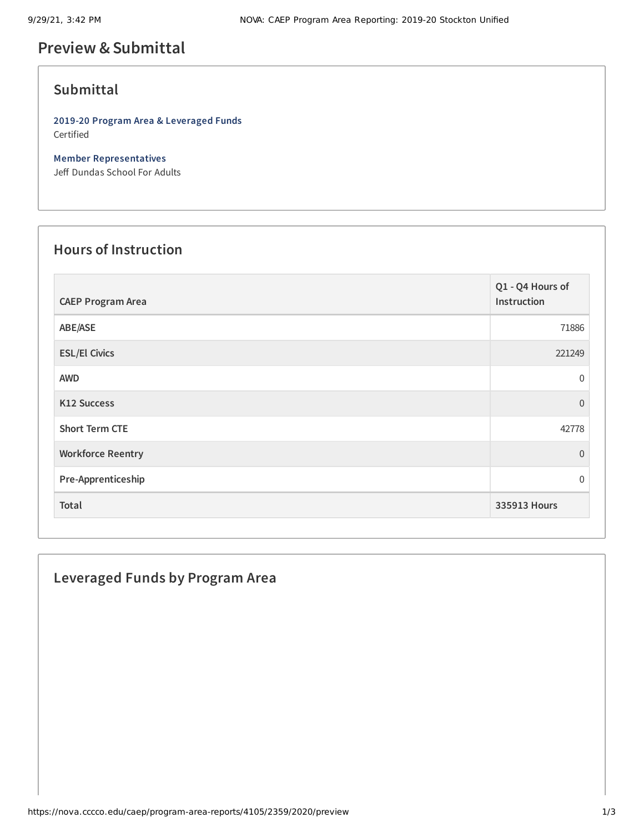# **Preview &Submittal**

## **Submittal**

**2019-20 Program Area & Leveraged Funds** Certified

**Member Representatives** Jeff Dundas School For Adults

#### **Hours of Instruction**

| <b>CAEP Program Area</b> | Q1 - Q4 Hours of<br>Instruction |
|--------------------------|---------------------------------|
| ABE/ASE                  | 71886                           |
| <b>ESL/El Civics</b>     | 221249                          |
| <b>AWD</b>               | $\overline{0}$                  |
| <b>K12 Success</b>       | $\overline{0}$                  |
| <b>Short Term CTE</b>    | 42778                           |
| <b>Workforce Reentry</b> | $\overline{0}$                  |
| Pre-Apprenticeship       | $\overline{0}$                  |
| Total                    | 335913 Hours                    |

### **Leveraged Funds by Program Area**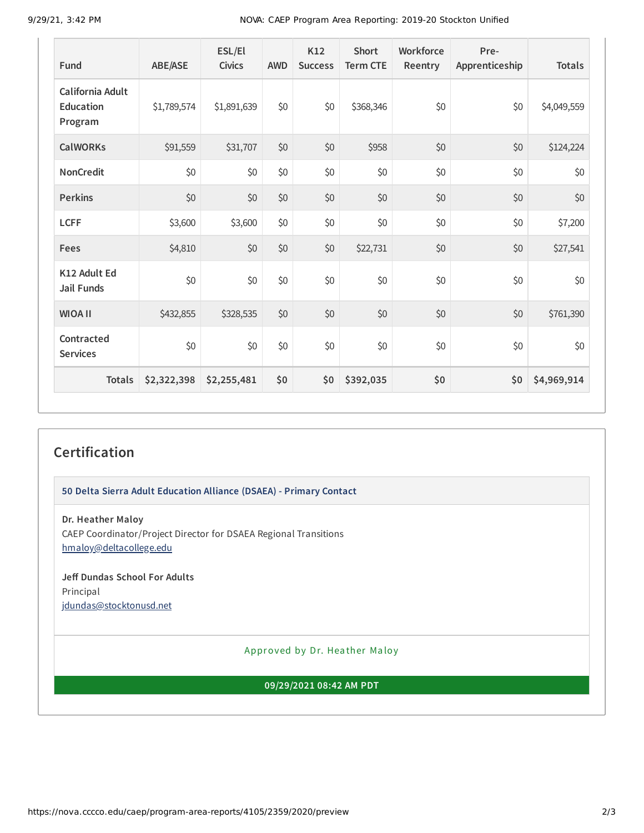9/29/21, 3:42 PM NOVA: CAEP Program Area Reporting: 2019-20 Stockton Unified

| Fund                                            | <b>ABE/ASE</b> | ESL/El<br><b>Civics</b> | <b>AWD</b> | K12<br><b>Success</b> | <b>Short</b><br><b>Term CTE</b> | Workforce<br>Reentry | Pre-<br>Apprenticeship | <b>Totals</b> |
|-------------------------------------------------|----------------|-------------------------|------------|-----------------------|---------------------------------|----------------------|------------------------|---------------|
| California Adult<br><b>Education</b><br>Program | \$1,789,574    | \$1,891,639             | \$0        | \$0                   | \$368,346                       | \$0                  | \$0                    | \$4,049,559   |
| <b>CalWORKs</b>                                 | \$91,559       | \$31,707                | \$0        | \$0                   | \$958                           | \$0                  | \$0                    | \$124,224     |
| <b>NonCredit</b>                                | \$0            | \$0                     | \$0        | \$0                   | \$0                             | \$0                  | \$0                    | \$0           |
| <b>Perkins</b>                                  | \$0            | \$0                     | \$0        | \$0                   | \$0                             | \$0                  | \$0                    | \$0           |
| <b>LCFF</b>                                     | \$3,600        | \$3,600                 | \$0        | \$0                   | \$0                             | \$0                  | \$0                    | \$7,200       |
| Fees                                            | \$4,810        | \$0                     | \$0        | \$0                   | \$22,731                        | \$0                  | \$0                    | \$27,541      |
| K12 Adult Ed<br><b>Jail Funds</b>               | \$0            | \$0                     | \$0        | \$0                   | \$0                             | \$0                  | \$0                    | \$0           |
| <b>WIOA II</b>                                  | \$432,855      | \$328,535               | \$0        | \$0                   | \$0                             | \$0                  | \$0                    | \$761,390     |
| Contracted<br><b>Services</b>                   | \$0            | \$0                     | \$0        | \$0                   | \$0                             | \$0                  | \$0                    | \$0           |
| <b>Totals</b>                                   | \$2,322,398    | \$2,255,481             | \$0        | \$0                   | \$392,035                       | \$0                  | \$0                    | \$4,969,914   |

## **Certification**

**50 Delta Sierra Adult Education Alliance (DSAEA) - Primary Contact**

**Dr. Heather Maloy** CAEP Coordinator/Project Director for DSAEA Regional Transitions [hmaloy@deltacollege.edu](mailto:hmaloy@deltacollege.edu)

**Jeff Dundas School For Adults** Principal [jdundas@stocktonusd.net](mailto:jdundas@stocktonusd.net)

Approved by Dr. Heather Maloy

**09/29/2021 08:42 AM PDT**